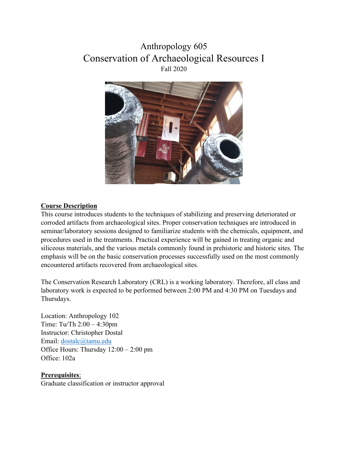# Anthropology 605 Conservation of Archaeological Resources I Fall 2020



#### **Course Description**

This course introduces students to the techniques of stabilizing and preserving deteriorated or corroded artifacts from archaeological sites. Proper conservation techniques are introduced in seminar/laboratory sessions designed to familiarize students with the chemicals, equipment, and procedures used in the treatments. Practical experience will be gained in treating organic and siliceous materials, and the various metals commonly found in prehistoric and historic sites. The emphasis will be on the basic conservation processes successfully used on the most commonly encountered artifacts recovered from archaeological sites.

The Conservation Research Laboratory (CRL) is a working laboratory. Therefore, all class and laboratory work is expected to be performed between 2:00 PM and 4:30 PM on Tuesdays and Thursdays.

Location: Anthropology 102 Time: Tu/Th 2:00 – 4:30pm Instructor: Christopher Dostal Email: [dostalc@tamu.edu](mailto:dostalc@tamu.edu) Office Hours: Thursday 12:00 – 2:00 pm Office: 102a

#### **Prerequisites**:

Graduate classification or instructor approval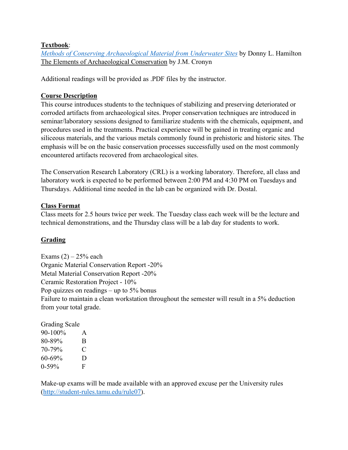#### **Textbook**:

*[Methods of Conserving Archaeological Material from Underwater Sites](https://nautarch.tamu.edu/CRL/conservationmanual/ConservationManual.pdf)* by Donny L. Hamilton The Elements of Archaeological Conservation by J.M. Cronyn

Additional readings will be provided as .PDF files by the instructor.

## **Course Description**

This course introduces students to the techniques of stabilizing and preserving deteriorated or corroded artifacts from archaeological sites. Proper conservation techniques are introduced in seminar/laboratory sessions designed to familiarize students with the chemicals, equipment, and procedures used in the treatments. Practical experience will be gained in treating organic and siliceous materials, and the various metals commonly found in prehistoric and historic sites. The emphasis will be on the basic conservation processes successfully used on the most commonly encountered artifacts recovered from archaeological sites.

The Conservation Research Laboratory (CRL) is a working laboratory. Therefore, all class and laboratory work is expected to be performed between 2:00 PM and 4:30 PM on Tuesdays and Thursdays. Additional time needed in the lab can be organized with Dr. Dostal.

#### **Class Format**

Class meets for 2.5 hours twice per week. The Tuesday class each week will be the lecture and technical demonstrations, and the Thursday class will be a lab day for students to work.

# **Grading**

Exams  $(2)$  – 25% each Organic Material Conservation Report -20% Metal Material Conservation Report -20% Ceramic Restoration Project - 10% Pop quizzes on readings – up to  $5\%$  bonus Failure to maintain a clean workstation throughout the semester will result in a 5% deduction from your total grade.

| <b>Grading Scale</b> |   |
|----------------------|---|
| 90-100%              | A |
| 80-89%               | B |
| 70-79%               | € |
| 60-69%               | D |
| $0 - 59\%$           | F |

Make-up exams will be made available with an approved excuse per the University rules [\(http://student-rules.tamu.edu/rule07\)](http://student-rules.tamu.edu/rule07).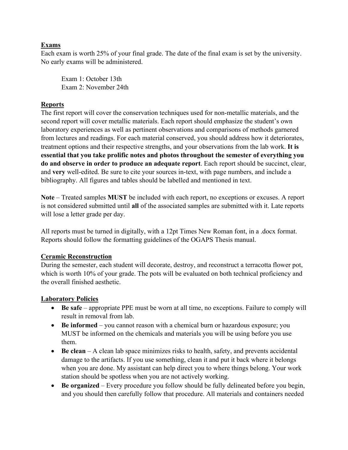#### **Exams**

Each exam is worth 25% of your final grade. The date of the final exam is set by the university. No early exams will be administered.

Exam 1: October 13th Exam 2: November 24th

#### **Reports**

The first report will cover the conservation techniques used for non-metallic materials, and the second report will cover metallic materials. Each report should emphasize the student's own laboratory experiences as well as pertinent observations and comparisons of methods garnered from lectures and readings. For each material conserved, you should address how it deteriorates, treatment options and their respective strengths, and your observations from the lab work. **It is essential that you take prolific notes and photos throughout the semester of everything you do and observe in order to produce an adequate report**. Each report should be succinct, clear, and **very** well-edited. Be sure to cite your sources in-text, with page numbers, and include a bibliography. All figures and tables should be labelled and mentioned in text.

**Note** – Treated samples **MUST** be included with each report, no exceptions or excuses. A report is not considered submitted until **all** of the associated samples are submitted with it. Late reports will lose a letter grade per day.

All reports must be turned in digitally, with a 12pt Times New Roman font, in a .docx format. Reports should follow the formatting guidelines of the OGAPS Thesis manual.

#### **Ceramic Reconstruction**

During the semester, each student will decorate, destroy, and reconstruct a terracotta flower pot, which is worth 10% of your grade. The pots will be evaluated on both technical proficiency and the overall finished aesthetic.

#### **Laboratory Policies**

- **Be safe** appropriate PPE must be worn at all time, no exceptions. Failure to comply will result in removal from lab.
- **Be** informed you cannot reason with a chemical burn or hazardous exposure; you MUST be informed on the chemicals and materials you will be using before you use them.
- **Be clean** A clean lab space minimizes risks to health, safety, and prevents accidental damage to the artifacts. If you use something, clean it and put it back where it belongs when you are done. My assistant can help direct you to where things belong. Your work station should be spotless when you are not actively working.
- **Be organized**  Every procedure you follow should be fully delineated before you begin, and you should then carefully follow that procedure. All materials and containers needed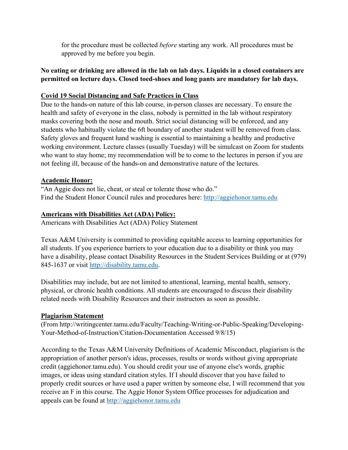for the procedure must be collected *before* starting any work. All procedures must be approved by me before you begin.

#### **No eating or drinking are allowed in the lab on lab days. Liquids in a closed containers are permitted on lecture days. Closed toed-shoes and long pants are mandatory for lab days.**

## **Covid 19 Social Distancing and Safe Practices in Class**

Due to the hands-on nature of this lab course, in-person classes are necessary. To ensure the health and safety of everyone in the class, nobody is permitted in the lab without respiratory masks covering both the nose and mouth. Strict social distancing will be enforced, and any students who habitually violate the 6ft boundary of another student will be removed from class. Safety gloves and frequent hand washing is essential to maintaining a healthy and productive working environment. Lecture classes (usually Tuesday) will be simulcast on Zoom for students who want to stay home; my recommendation will be to come to the lectures in person if you are not feeling ill, because of the hands-on and demonstrative nature of the lectures.

#### **Academic Honor:**

"An Aggie does not lie, cheat, or steal or tolerate those who do." Find the Student Honor Council rules and procedures here: [http://aggiehonor.tamu.edu](http://aggiehonor.tamu.edu/)

#### **Americans with Disabilities Act (ADA) Policy:**

Americans with Disabilities Act (ADA) Policy Statement

Texas A&M University is committed to providing equitable access to learning opportunities for all students. If you experience barriers to your education due to a disability or think you may have a disability, please contact Disability Resources in the Student Services Building or at (979) 845-1637 or visit [http://disability.tamu.edu.](http://disability.tamu.edu/)

Disabilities may include, but are not limited to attentional, learning, mental health, sensory, physical, or chronic health conditions. All students are encouraged to discuss their disability related needs with Disability Resources and their instructors as soon as possible.

#### **Plagiarism Statement**

(From http://writingcenter.tamu.edu/Faculty/Teaching-Writing-or-Public-Speaking/Developing-Your-Method-of-Instruction/Citation-Documentation Accessed 9/8/15)

According to the Texas A&M University Definitions of Academic Misconduct, plagiarism is the appropriation of another person's ideas, processes, results or words without giving appropriate credit (aggiehonor.tamu.edu). You should credit your use of anyone else's words, graphic images, or ideas using standard citation styles. If I should discover that you have failed to properly credit sources or have used a paper written by someone else, I will recommend that you receive an F in this course. The Aggie Honor System Office processes for adjudication and appeals can be found at [http://aggiehonor.tamu.edu](http://aggiehonor.tamu.edu/)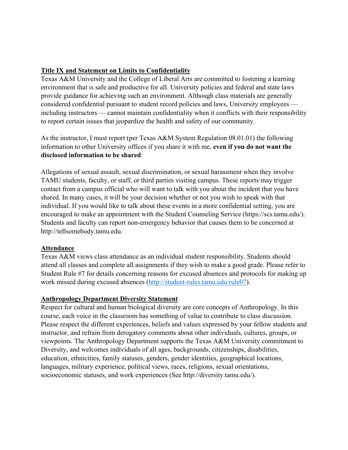#### **Title IX and Statement on Limits to Confidentiality**

Texas A&M University and the College of Liberal Arts are committed to fostering a learning environment that is safe and productive for all. University policies and federal and state laws provide guidance for achieving such an environment. Although class materials are generally considered confidential pursuant to student record policies and laws, University employees including instructors — cannot maintain confidentiality when it conflicts with their responsibility to report certain issues that jeopardize the health and safety of our community.

As the instructor, I must report (per Texas A&M System Regulation 08.01.01) the following information to other University offices if you share it with me, **even if you do not want the disclosed information to be shared**:

Allegations of sexual assault, sexual discrimination, or sexual harassment when they involve TAMU students, faculty, or staff, or third parties visiting campus. These reports may trigger contact from a campus official who will want to talk with you about the incident that you have shared. In many cases, it will be your decision whether or not you wish to speak with that individual. If you would like to talk about these events in a more confidential setting, you are encouraged to make an appointment with the Student Counseling Service (https://scs.tamu.edu/). Students and faculty can report non-emergency behavior that causes them to be concerned at http://tellsomebody.tamu.edu.

#### **Attendance**

Texas A&M views class attendance as an individual student responsibility. Students should attend all classes and complete all assignments if they wish to make a good grade. Please refer to Student Rule #7 for details concerning reasons for excused absences and protocols for making up work missed during excused absences [\(http://student-rules.tamu.edu/rule07\)](http://student-rules.tamu.edu/rule07).

#### **Anthropology Department Diversity Statement**

Respect for cultural and human biological diversity are core concepts of Anthropology. In this course, each voice in the classroom has something of value to contribute to class discussion. Please respect the different experiences, beliefs and values expressed by your fellow students and instructor, and refrain from derogatory comments about other individuals, cultures, groups, or viewpoints. The Anthropology Department supports the Texas A&M University commitment to Diversity, and welcomes individuals of all ages, backgrounds, citizenships, disabilities, education, ethnicities, family statuses, genders, gender identities, geographical locations, languages, military experience, political views, races, religions, sexual orientations, socioeconomic statuses, and work experiences (See http://diversity.tamu.edu/).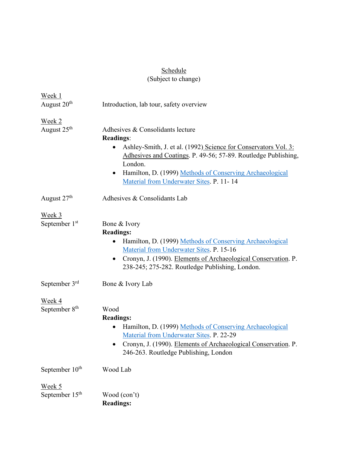# <u>Schedule</u>

#### (Subject to change)

| Week 1                                       |                                                                                                                                                                                                                                                                                                              |
|----------------------------------------------|--------------------------------------------------------------------------------------------------------------------------------------------------------------------------------------------------------------------------------------------------------------------------------------------------------------|
| August 20 <sup>th</sup>                      | Introduction, lab tour, safety overview                                                                                                                                                                                                                                                                      |
| Week <sub>2</sub><br>August 25 <sup>th</sup> | Adhesives & Consolidants lecture<br><b>Readings:</b><br>Ashley-Smith, J. et al. (1992) Science for Conservators Vol. 3:<br>Adhesives and Coatings. P. 49-56; 57-89. Routledge Publishing,<br>London.<br>Hamilton, D. (1999) Methods of Conserving Archaeological<br>Material from Underwater Sites. P. 11-14 |
| August 27 <sup>th</sup>                      | Adhesives & Consolidants Lab                                                                                                                                                                                                                                                                                 |
| Week 3<br>September 1st                      | Bone & Ivory<br><b>Readings:</b><br>Hamilton, D. (1999) Methods of Conserving Archaeological<br>Material from Underwater Sites. P. 15-16<br>Cronyn, J. (1990). Elements of Archaeological Conservation. P.<br>238-245; 275-282. Routledge Publishing, London.                                                |
| September 3rd                                | Bone & Ivory Lab                                                                                                                                                                                                                                                                                             |
| Week 4<br>September 8 <sup>th</sup>          | Wood<br><b>Readings:</b><br>Hamilton, D. (1999) Methods of Conserving Archaeological<br>Material from Underwater Sites. P. 22-29<br>Cronyn, J. (1990). Elements of Archaeological Conservation. P.<br>246-263. Routledge Publishing, London                                                                  |
| September 10 <sup>th</sup>                   | Wood Lab                                                                                                                                                                                                                                                                                                     |
| <u>Week 5</u><br>September 15 <sup>th</sup>  | Wood (con't)<br><b>Readings:</b>                                                                                                                                                                                                                                                                             |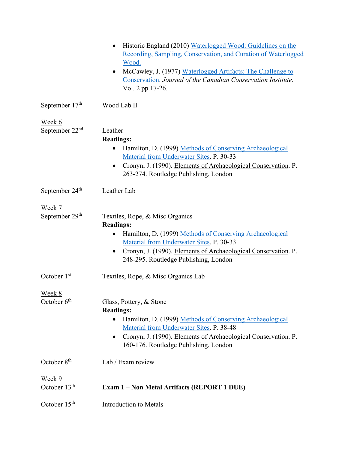|                                           | Historic England (2010) Waterlogged Wood: Guidelines on the<br>$\bullet$<br>Recording, Sampling, Conservation, and Curation of Waterlogged<br>Wood.<br>McCawley, J. (1977) Waterlogged Artifacts: The Challenge to<br>$\bullet$<br>Conservation. Journal of the Canadian Conservation Institute.<br>Vol. 2 pp 17-26. |
|-------------------------------------------|----------------------------------------------------------------------------------------------------------------------------------------------------------------------------------------------------------------------------------------------------------------------------------------------------------------------|
| September $17th$                          | Wood Lab II                                                                                                                                                                                                                                                                                                          |
| Week 6                                    |                                                                                                                                                                                                                                                                                                                      |
| September $22nd$                          | Leather<br><b>Readings:</b><br>Hamilton, D. (1999) Methods of Conserving Archaeological<br>$\bullet$<br>Material from Underwater Sites. P. 30-33<br>Cronyn, J. (1990). Elements of Archaeological Conservation. P.<br>٠<br>263-274. Routledge Publishing, London                                                     |
| September 24 <sup>th</sup>                | Leather Lab                                                                                                                                                                                                                                                                                                          |
| Week 7                                    |                                                                                                                                                                                                                                                                                                                      |
| September 29th                            | Textiles, Rope, & Misc Organics<br><b>Readings:</b><br>Hamilton, D. (1999) Methods of Conserving Archaeological<br>Material from Underwater Sites. P. 30-33<br>Cronyn, J. (1990). Elements of Archaeological Conservation. P.<br>$\bullet$<br>248-295. Routledge Publishing, London                                  |
| October 1st                               | Textiles, Rope, & Misc Organics Lab                                                                                                                                                                                                                                                                                  |
| <u>Week 8</u><br>October $6th$            | Glass, Pottery, & Stone<br><b>Readings:</b><br>Hamilton, D. (1999) Methods of Conserving Archaeological<br>Material from Underwater Sites. P. 38-48<br>Cronyn, J. (1990). Elements of Archaeological Conservation. P.<br>٠<br>160-176. Routledge Publishing, London                                                  |
| October 8 <sup>th</sup>                   | Lab / Exam review                                                                                                                                                                                                                                                                                                    |
| <u>Week 9</u><br>October 13 <sup>th</sup> | Exam 1 - Non Metal Artifacts (REPORT 1 DUE)                                                                                                                                                                                                                                                                          |
| October 15 <sup>th</sup>                  | <b>Introduction to Metals</b>                                                                                                                                                                                                                                                                                        |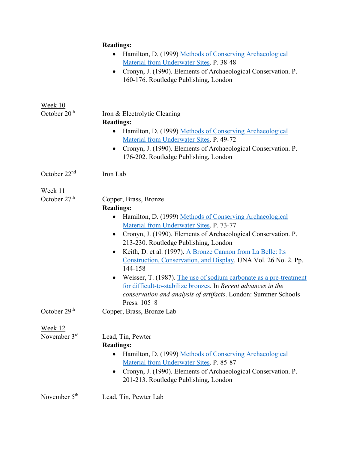|                          | <b>Readings:</b>                                                                                                     |
|--------------------------|----------------------------------------------------------------------------------------------------------------------|
|                          | Hamilton, D. (1999) Methods of Conserving Archaeological<br>$\bullet$                                                |
|                          | Material from Underwater Sites. P. 38-48                                                                             |
|                          | Cronyn, J. (1990). Elements of Archaeological Conservation. P.<br>$\bullet$<br>160-176. Routledge Publishing, London |
| Week 10                  |                                                                                                                      |
| October 20 <sup>th</sup> | Iron & Electrolytic Cleaning                                                                                         |
|                          | <b>Readings:</b>                                                                                                     |
|                          | Hamilton, D. (1999) Methods of Conserving Archaeological<br>Material from Underwater Sites. P. 49-72                 |
|                          | Cronyn, J. (1990). Elements of Archaeological Conservation. P.<br>$\bullet$<br>176-202. Routledge Publishing, London |
| October $22nd$           | Iron Lab                                                                                                             |
| Week 11                  |                                                                                                                      |
| October 27 <sup>th</sup> | Copper, Brass, Bronze                                                                                                |
|                          | <b>Readings:</b>                                                                                                     |
|                          | Hamilton, D. (1999) Methods of Conserving Archaeological<br>$\bullet$                                                |
|                          | Material from Underwater Sites. P. 73-77                                                                             |
|                          | Cronyn, J. (1990). Elements of Archaeological Conservation. P.<br>$\bullet$                                          |
|                          | 213-230. Routledge Publishing, London                                                                                |
|                          | Keith, D. et al. (1997). A Bronze Cannon from La Belle: Its<br>$\bullet$                                             |
|                          | Construction, Conservation, and Display. IJNA Vol. 26 No. 2. Pp.<br>144-158                                          |
|                          | Weisser, T. (1987). The use of sodium carbonate as a pre-treatment<br>$\bullet$                                      |
|                          | for difficult-to-stabilize bronzes. In Recent advances in the                                                        |
|                          | conservation and analysis of artifacts. London: Summer Schools                                                       |
|                          | Press. $105-8$                                                                                                       |
| October 29 <sup>th</sup> | Copper, Brass, Bronze Lab                                                                                            |
| <u>Week 12</u>           |                                                                                                                      |
| November $3rd$           | Lead, Tin, Pewter                                                                                                    |
|                          | <b>Readings:</b>                                                                                                     |
|                          | Hamilton, D. (1999) Methods of Conserving Archaeological                                                             |
|                          | Material from Underwater Sites. P. 85-87                                                                             |
|                          | Cronyn, J. (1990). Elements of Archaeological Conservation. P.<br>$\bullet$<br>201-213. Routledge Publishing, London |
| November 5 <sup>th</sup> | Lead, Tin, Pewter Lab                                                                                                |